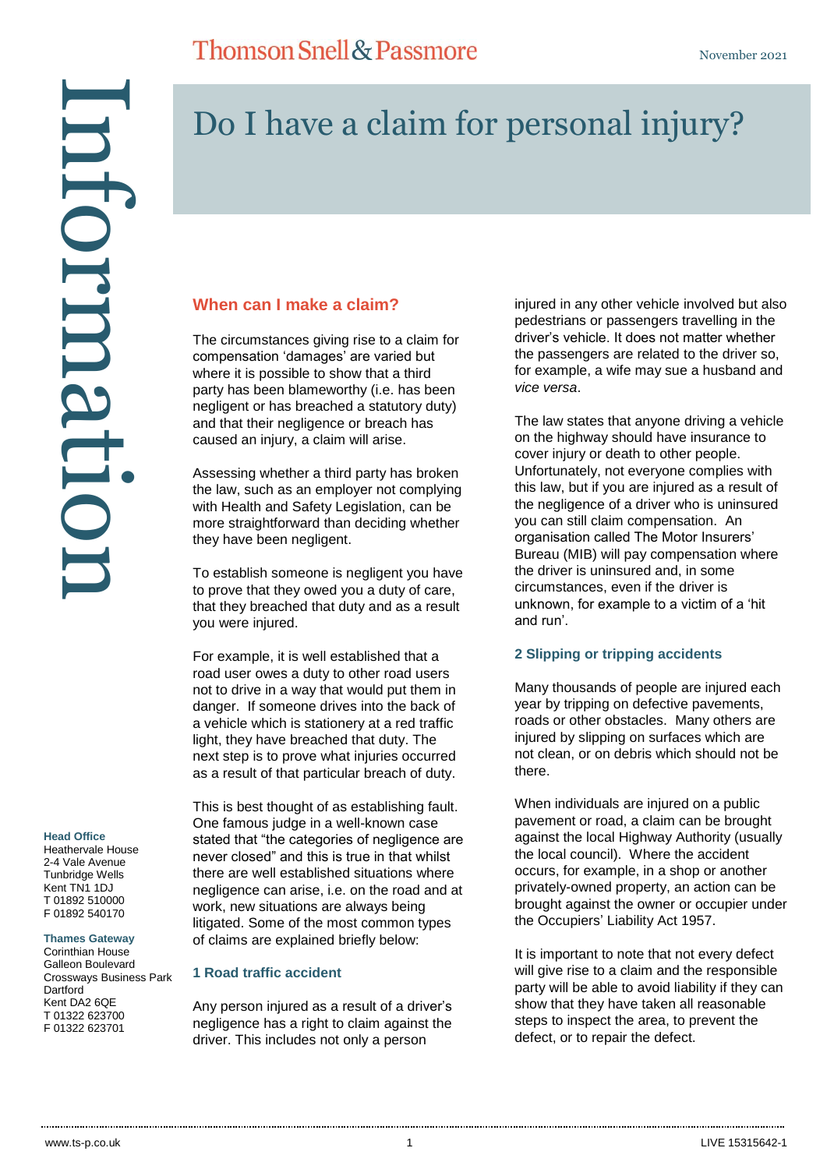#### **Head Office**

Heathervale House 2-4 Vale Avenue Tunbridge Wells Kent TN1 1DJ T 01892 510000 F 01892 540170

#### **Thames Gateway**

Corinthian House Galleon Boulevard Crossways Business Park **Dartford** Kent DA2 6QE T 01322 623700

# Do I have a claim for personal injury?

### **When can I make a claim?**

The circumstances giving rise to a claim for compensation 'damages' are varied but where it is possible to show that a third party has been blameworthy (i.e. has been negligent or has breached a statutory duty) and that their negligence or breach has caused an injury, a claim will arise.

Assessing whether a third party has broken the law, such as an employer not complying with Health and Safety Legislation, can be more straightforward than deciding whether they have been negligent.

To establish someone is negligent you have to prove that they owed you a duty of care, that they breached that duty and as a result you were injured.

For example, it is well established that a road user owes a duty to other road users not to drive in a way that would put them in danger. If someone drives into the back of a vehicle which is stationery at a red traffic light, they have breached that duty. The next step is to prove what injuries occurred as a result of that particular breach of duty.

This is best thought of as establishing fault. One famous judge in a well-known case stated that "the categories of negligence are never closed" and this is true in that whilst there are well established situations where negligence can arise, i.e. on the road and at work, new situations are always being litigated. Some of the most common types of claims are explained briefly below:

### **1 Road traffic accident**

Any person injured as a result of a driver's negligence has a right to claim against the driver. This includes not only a person

injured in any other vehicle involved but also pedestrians or passengers travelling in the driver's vehicle. It does not matter whether the passengers are related to the driver so, for example, a wife may sue a husband and *vice versa*.

The law states that anyone driving a vehicle on the highway should have insurance to cover injury or death to other people. Unfortunately, not everyone complies with this law, but if you are injured as a result of the negligence of a driver who is uninsured you can still claim compensation. An organisation called The Motor Insurers' Bureau (MIB) will pay compensation where the driver is uninsured and, in some circumstances, even if the driver is unknown, for example to a victim of a 'hit and run'.

### **2 Slipping or tripping accidents**

Many thousands of people are injured each year by tripping on defective pavements, roads or other obstacles. Many others are injured by slipping on surfaces which are not clean, or on debris which should not be there.

When individuals are injured on a public pavement or road, a claim can be brought against the local Highway Authority (usually the local council). Where the accident occurs, for example, in a shop or another privately-owned property, an action can be brought against the owner or occupier under the Occupiers' Liability Act 1957.

It is important to note that not every defect will give rise to a claim and the responsible party will be able to avoid liability if they can show that they have taken all reasonable steps to inspect the area, to prevent the defect, or to repair the defect.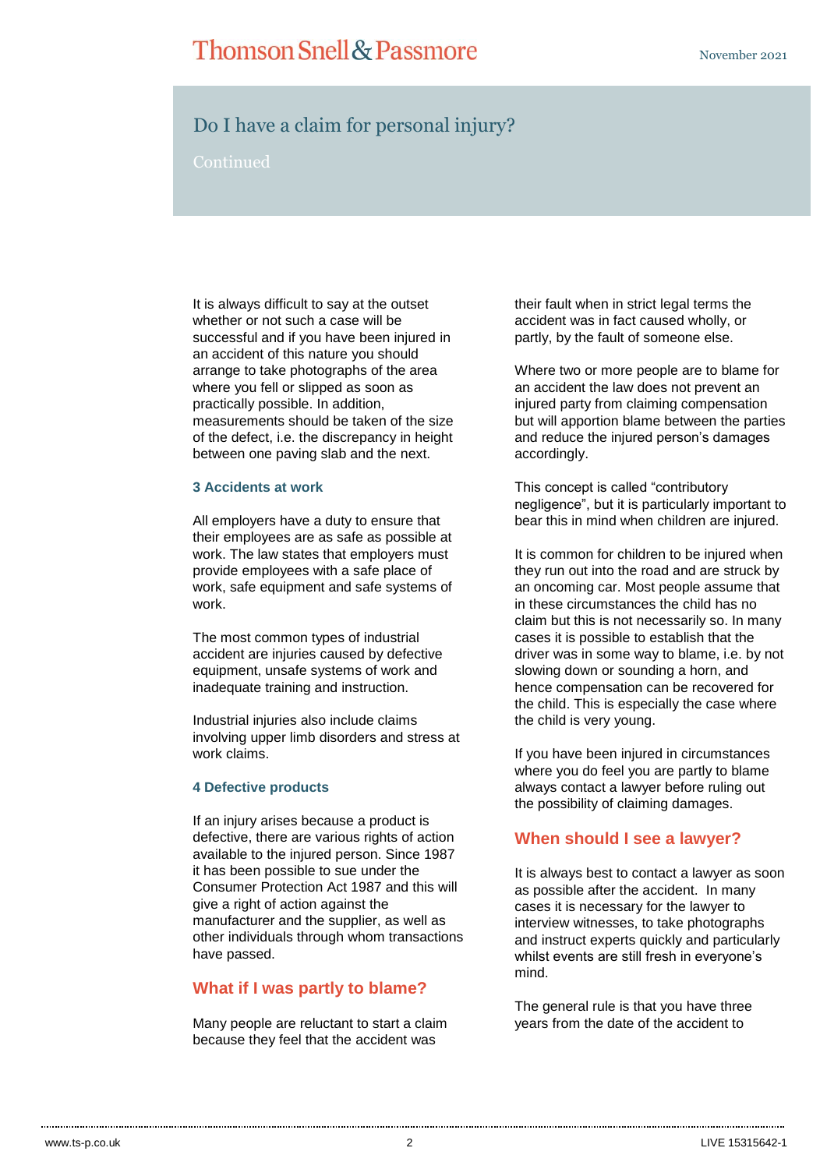## Thomson Snell & Passmore

### Do I have a claim for personal injury?

Continued

It is always difficult to say at the outset whether or not such a case will be successful and if you have been injured in an accident of this nature you should arrange to take photographs of the area where you fell or slipped as soon as practically possible. In addition, measurements should be taken of the size of the defect, i.e. the discrepancy in height between one paving slab and the next.

### **3 Accidents at work**

All employers have a duty to ensure that their employees are as safe as possible at work. The law states that employers must provide employees with a safe place of work, safe equipment and safe systems of work.

The most common types of industrial accident are injuries caused by defective equipment, unsafe systems of work and inadequate training and instruction.

Industrial injuries also include claims involving upper limb disorders and stress at work claims.

### **4 Defective products**

If an injury arises because a product is defective, there are various rights of action available to the injured person. Since 1987 it has been possible to sue under the Consumer Protection Act 1987 and this will give a right of action against the manufacturer and the supplier, as well as other individuals through whom transactions have passed.

### **What if I was partly to blame?**

Many people are reluctant to start a claim because they feel that the accident was

their fault when in strict legal terms the accident was in fact caused wholly, or partly, by the fault of someone else.

Where two or more people are to blame for an accident the law does not prevent an injured party from claiming compensation but will apportion blame between the parties and reduce the injured person's damages accordingly.

This concept is called "contributory negligence", but it is particularly important to bear this in mind when children are injured.

It is common for children to be injured when they run out into the road and are struck by an oncoming car. Most people assume that in these circumstances the child has no claim but this is not necessarily so. In many cases it is possible to establish that the driver was in some way to blame, i.e. by not slowing down or sounding a horn, and hence compensation can be recovered for the child. This is especially the case where the child is very young.

If you have been injured in circumstances where you do feel you are partly to blame always contact a lawyer before ruling out the possibility of claiming damages.

### **When should I see a lawyer?**

It is always best to contact a lawyer as soon as possible after the accident. In many cases it is necessary for the lawyer to interview witnesses, to take photographs and instruct experts quickly and particularly whilst events are still fresh in everyone's mind.

The general rule is that you have three years from the date of the accident to